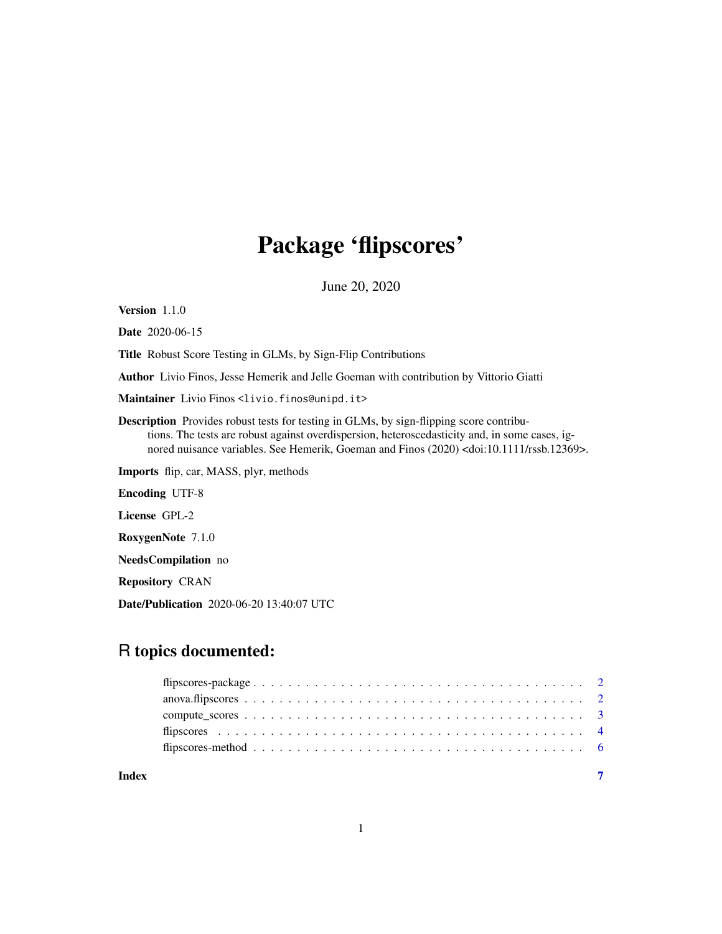# Package 'flipscores'

June 20, 2020

<span id="page-0-0"></span>Version 1.1.0

Date 2020-06-15

Title Robust Score Testing in GLMs, by Sign-Flip Contributions

Author Livio Finos, Jesse Hemerik and Jelle Goeman with contribution by Vittorio Giatti

Maintainer Livio Finos <livio.finos@unipd.it>

Description Provides robust tests for testing in GLMs, by sign-flipping score contributions. The tests are robust against overdispersion, heteroscedasticity and, in some cases, ignored nuisance variables. See Hemerik, Goeman and Finos (2020) <doi:10.1111/rssb.12369>.

Imports flip, car, MASS, plyr, methods

Encoding UTF-8

License GPL-2

RoxygenNote 7.1.0

NeedsCompilation no

Repository CRAN

Date/Publication 2020-06-20 13:40:07 UTC

# R topics documented:

| Index |  |
|-------|--|

1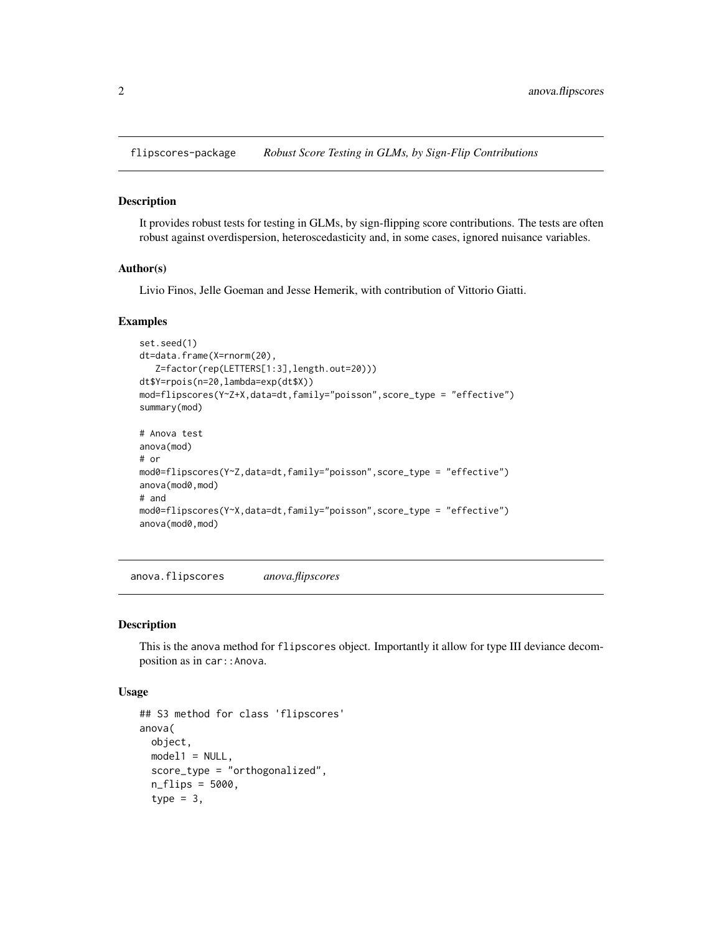<span id="page-1-0"></span>flipscores-package *Robust Score Testing in GLMs, by Sign-Flip Contributions*

# Description

It provides robust tests for testing in GLMs, by sign-flipping score contributions. The tests are often robust against overdispersion, heteroscedasticity and, in some cases, ignored nuisance variables.

### Author(s)

Livio Finos, Jelle Goeman and Jesse Hemerik, with contribution of Vittorio Giatti.

#### Examples

```
set.seed(1)
dt=data.frame(X=rnorm(20),
   Z=factor(rep(LETTERS[1:3],length.out=20)))
dt$Y=rpois(n=20,lambda=exp(dt$X))
mod=flipscores(Y~Z+X,data=dt,family="poisson",score_type = "effective")
summary(mod)
# Anova test
anova(mod)
# or
mod0=flipscores(Y~Z,data=dt,family="poisson",score_type = "effective")
anova(mod0,mod)
# and
mod0=flipscores(Y~X,data=dt,family="poisson",score_type = "effective")
anova(mod0,mod)
```
<span id="page-1-1"></span>anova.flipscores *anova.flipscores*

#### Description

This is the anova method for flipscores object. Importantly it allow for type III deviance decomposition as in car:: Anova.

### Usage

```
## S3 method for class 'flipscores'
anova(
 object,
 model1 = NULL,score_type = "orthogonalized",
  n_flips = 5000,
  type = 3,
```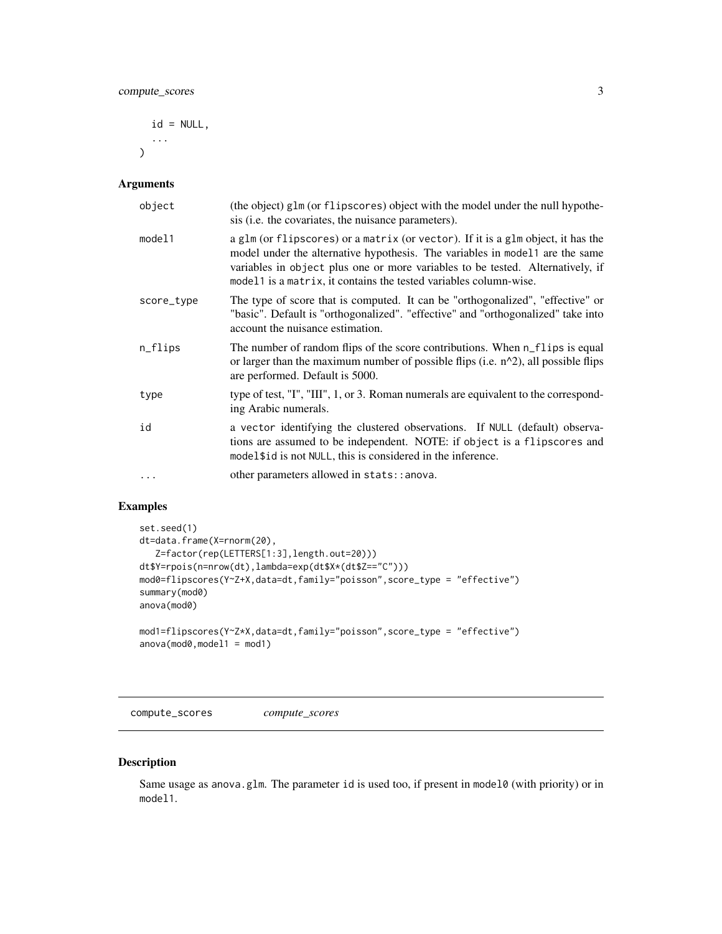<span id="page-2-0"></span> $id = NULL,$ ...  $\lambda$ 

# Arguments

| object     | (the object) glm (or flipscores) object with the model under the null hypothe-<br>sis ( <i>i.e.</i> the covariates, the nuisance parameters).                                                                                                                                                                           |
|------------|-------------------------------------------------------------------------------------------------------------------------------------------------------------------------------------------------------------------------------------------------------------------------------------------------------------------------|
| model1     | a glm (or flipscores) or a matrix (or vector). If it is a glm object, it has the<br>model under the alternative hypothesis. The variables in model1 are the same<br>variables in object plus one or more variables to be tested. Alternatively, if<br>model1 is a matrix, it contains the tested variables column-wise. |
| score_type | The type of score that is computed. It can be "orthogonalized", "effective" or<br>"basic". Default is "orthogonalized". "effective" and "orthogonalized" take into<br>account the nuisance estimation.                                                                                                                  |
| n_flips    | The number of random flips of the score contributions. When n_flips is equal<br>or larger than the maximum number of possible flips (i.e. n^2), all possible flips<br>are performed. Default is 5000.                                                                                                                   |
| type       | type of test, "I", "III", 1, or 3. Roman numerals are equivalent to the correspond-<br>ing Arabic numerals.                                                                                                                                                                                                             |
| id         | a vector identifying the clustered observations. If NULL (default) observa-<br>tions are assumed to be independent. NOTE: if object is a flipscores and<br>model\$id is not NULL, this is considered in the inference.                                                                                                  |
| $\ddots$   | other parameters allowed in stats::anova.                                                                                                                                                                                                                                                                               |

# Examples

```
set.seed(1)
dt=data.frame(X=rnorm(20),
   Z=factor(rep(LETTERS[1:3],length.out=20)))
dt$Y=rpois(n=nrow(dt),lambda=exp(dt$X*(dt$Z=="C")))
mod0=flipscores(Y~Z+X,data=dt,family="poisson",score_type = "effective")
summary(mod0)
anova(mod0)
mod1=flipscores(Y~Z*X,data=dt,family="poisson",score_type = "effective")
```

```
anova(mod0,model1 = mod1)
```
compute\_scores *compute\_scores*

# Description

Same usage as anova.glm. The parameter id is used too, if present in model0 (with priority) or in model1.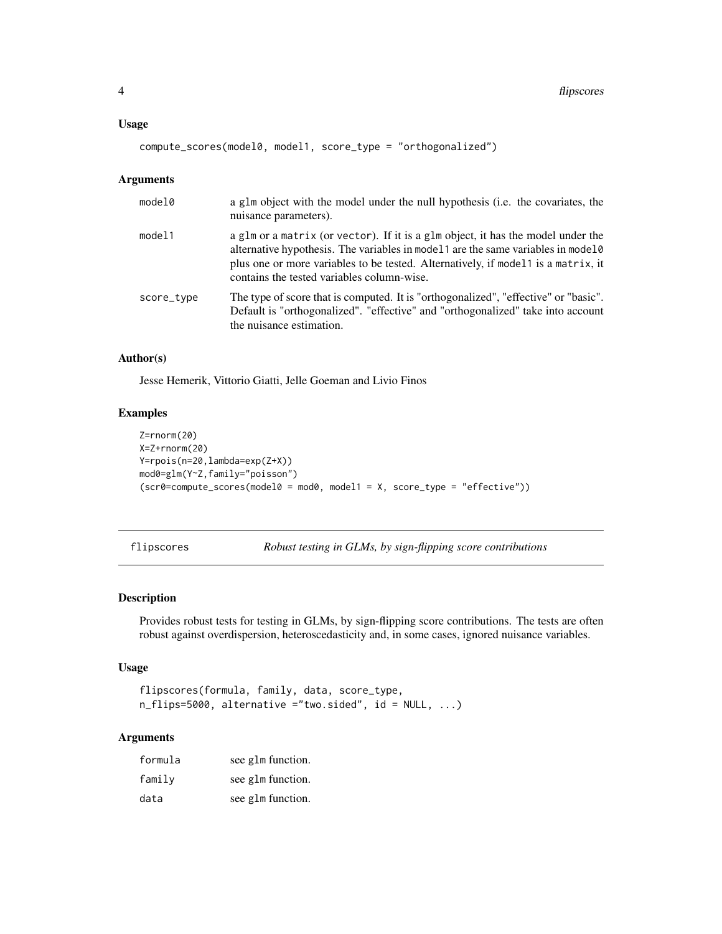### <span id="page-3-0"></span>Usage

compute\_scores(model0, model1, score\_type = "orthogonalized")

### Arguments

| model0     | a g1m object with the model under the null hypothesis (i.e. the covariates, the<br>nuisance parameters).                                                                                                                                                                                                 |
|------------|----------------------------------------------------------------------------------------------------------------------------------------------------------------------------------------------------------------------------------------------------------------------------------------------------------|
| model1     | a glm or a matrix (or vector). If it is a glm object, it has the model under the<br>alternative hypothesis. The variables in model1 are the same variables in model0<br>plus one or more variables to be tested. Alternatively, if model 1 is a matrix, it<br>contains the tested variables column-wise. |
| score_type | The type of score that is computed. It is "orthogonalized", "effective" or "basic".<br>Default is "orthogonalized". "effective" and "orthogonalized" take into account<br>the nuisance estimation.                                                                                                       |

# Author(s)

Jesse Hemerik, Vittorio Giatti, Jelle Goeman and Livio Finos

### Examples

```
Z=rnorm(20)
X=Z+rnorm(20)
Y=rpois(n=20,lambda=exp(Z+X))
mod0=glm(Y~Z,family="poisson")
(scr0=compute_scores(model0 = mod0, model1 = X, score_type = "effective")
```
flipscores *Robust testing in GLMs, by sign-flipping score contributions*

# Description

Provides robust tests for testing in GLMs, by sign-flipping score contributions. The tests are often robust against overdispersion, heteroscedasticity and, in some cases, ignored nuisance variables.

# Usage

```
flipscores(formula, family, data, score_type,
n_flips=5000, alternative ="two.sided", id = NULL, ...)
```
### Arguments

| formula | see g1m function. |
|---------|-------------------|
| family  | see g1m function. |
| data    | see glm function. |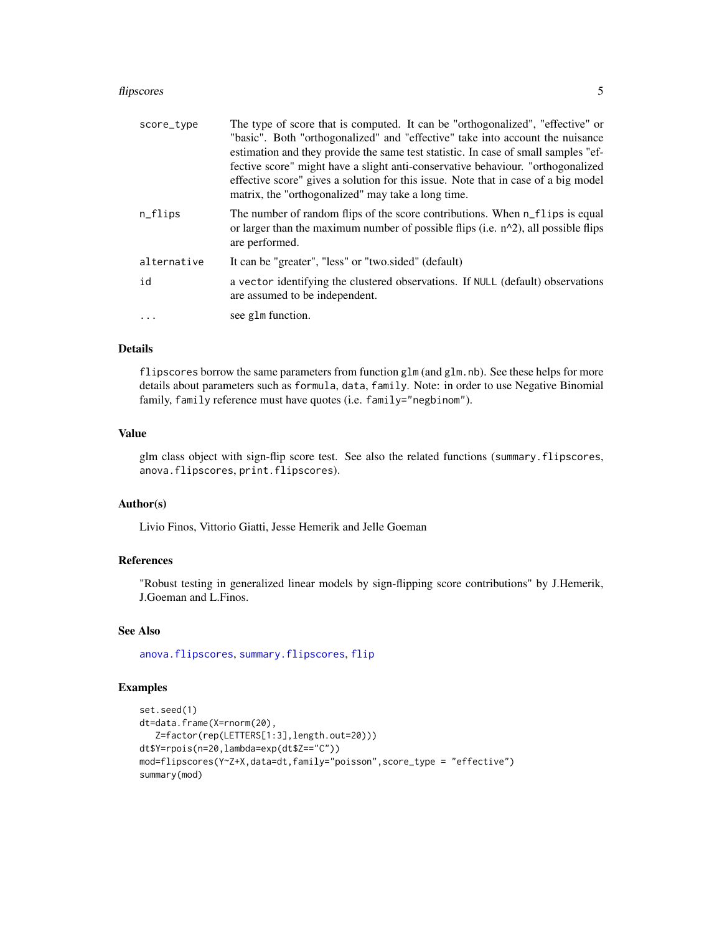#### <span id="page-4-0"></span>flipscores 5

| score_type  | The type of score that is computed. It can be "orthogonalized", "effective" or                                                                                                          |
|-------------|-----------------------------------------------------------------------------------------------------------------------------------------------------------------------------------------|
|             | "basic". Both "orthogonalized" and "effective" take into account the nuisance                                                                                                           |
|             | estimation and they provide the same test statistic. In case of small samples "ef-                                                                                                      |
|             | fective score" might have a slight anti-conservative behaviour. "orthogonalized"                                                                                                        |
|             | effective score" gives a solution for this issue. Note that in case of a big model                                                                                                      |
|             | matrix, the "orthogonalized" may take a long time.                                                                                                                                      |
| $n_{flips}$ | The number of random flips of the score contributions. When n_flips is equal<br>or larger than the maximum number of possible flips (i.e. $n^2$ ), all possible flips<br>are performed. |
| alternative | It can be "greater", "less" or "two.sided" (default)                                                                                                                                    |
| id          | a vector identifying the clustered observations. If NULL (default) observations<br>are assumed to be independent.                                                                       |
| $\ddots$ .  | see glm function.                                                                                                                                                                       |

# Details

flipscores borrow the same parameters from function glm (and glm.nb). See these helps for more details about parameters such as formula, data, family. Note: in order to use Negative Binomial family, family reference must have quotes (i.e. family="negbinom").

# Value

glm class object with sign-flip score test. See also the related functions (summary.flipscores, anova.flipscores, print.flipscores).

# Author(s)

Livio Finos, Vittorio Giatti, Jesse Hemerik and Jelle Goeman

# References

"Robust testing in generalized linear models by sign-flipping score contributions" by J.Hemerik, J.Goeman and L.Finos.

# See Also

[anova.flipscores](#page-1-1), [summary.flipscores](#page-5-1), [flip](#page-0-0)

# Examples

```
set.seed(1)
dt=data.frame(X=rnorm(20),
   Z=factor(rep(LETTERS[1:3],length.out=20)))
dt$Y=rpois(n=20,lambda=exp(dt$Z=="C"))
mod=flipscores(Y~Z+X,data=dt,family="poisson",score_type = "effective")
summary(mod)
```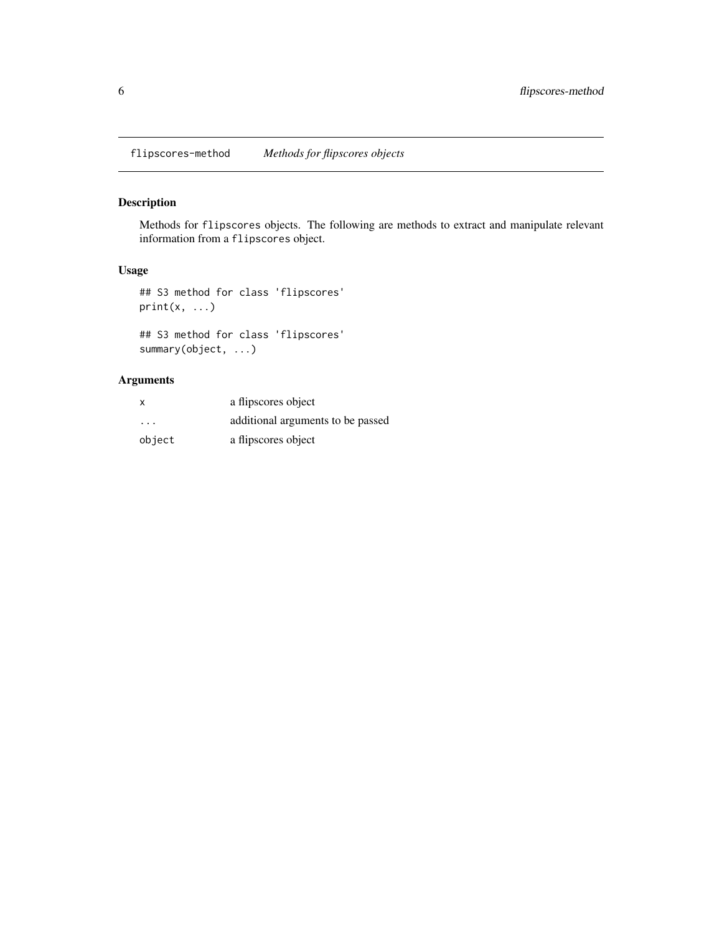<span id="page-5-0"></span>flipscores-method *Methods for flipscores objects*

# <span id="page-5-1"></span>Description

Methods for flipscores objects. The following are methods to extract and manipulate relevant information from a flipscores object.

# Usage

## S3 method for class 'flipscores'  $print(x, \ldots)$ 

## S3 method for class 'flipscores' summary(object, ...)

# Arguments

| $\boldsymbol{\mathsf{x}}$ | a flipscores object               |
|---------------------------|-----------------------------------|
| .                         | additional arguments to be passed |
| object                    | a flipscores object               |